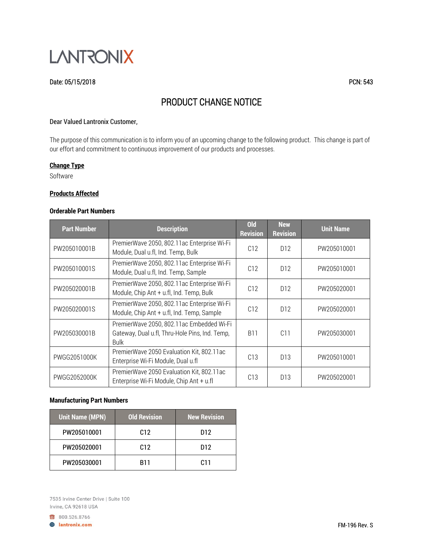

### Date: 05/15/2018 PCN: 543

# PRODUCT CHANGE NOTICE

#### Dear Valued Lantronix Customer,

The purpose of this communication is to inform you of an upcoming change to the following product. This change is part of our effort and commitment to continuous improvement of our products and processes.

## **Change Type**

Software

### **Products Affected**

## **Orderable Part Numbers**

| <b>Part Number</b> | <b>Description</b>                                                                                         | <b>Old</b><br><b>Revision</b> | <b>New</b><br><b>Revision</b> | <b>Unit Name</b> |
|--------------------|------------------------------------------------------------------------------------------------------------|-------------------------------|-------------------------------|------------------|
| PW205010001B       | PremierWave 2050, 802.11ac Enterprise Wi-Fi<br>Module, Dual u.fl, Ind. Temp, Bulk                          | C12                           | D <sub>12</sub>               | PW205010001      |
| PW205010001S       | PremierWave 2050, 802.11ac Enterprise Wi-Fi<br>Module, Dual u.fl, Ind. Temp, Sample                        | C12                           | D <sub>12</sub>               | PW205010001      |
| PW205020001B       | PremierWave 2050, 802.11ac Enterprise Wi-Fi<br>Module, Chip Ant + u.fl, Ind. Temp, Bulk                    | C12                           | D <sub>12</sub>               | PW205020001      |
| PW205020001S       | PremierWave 2050, 802.11ac Enterprise Wi-Fi<br>Module, Chip Ant + u.fl, Ind. Temp, Sample                  | C12                           | D <sub>12</sub>               | PW205020001      |
| PW205030001B       | PremierWave 2050, 802.11ac Embedded Wi-Fi<br>Gateway, Dual u.fl, Thru-Hole Pins, Ind. Temp,<br><b>Bulk</b> | <b>B11</b>                    | C11                           | PW205030001      |
| PWGG2051000K       | PremierWave 2050 Evaluation Kit, 802.11ac<br>Enterprise Wi-Fi Module, Dual u.fl                            | C13                           | D <sub>13</sub>               | PW205010001      |
| PWGG2052000K       | PremierWave 2050 Evaluation Kit, 802.11ac<br>Enterprise Wi-Fi Module, Chip Ant + u.fl                      | C13                           | D <sub>13</sub>               | PW205020001      |

## **Manufacturing Part Numbers**

| <b>Unit Name (MPN)</b> | <b>Old Revision</b> | <b>New Revision</b> |
|------------------------|---------------------|---------------------|
| PW205010001            | C <sub>12</sub>     | D12                 |
| PW205020001            | C <sub>12</sub>     | D <sub>12</sub>     |
| PW205030001            | <b>B11</b>          | C11                 |

7535 Irvine Center Drive | Suite 100 Irvine, CA 92618 USA

800.526.8766 **A** lantronix.com